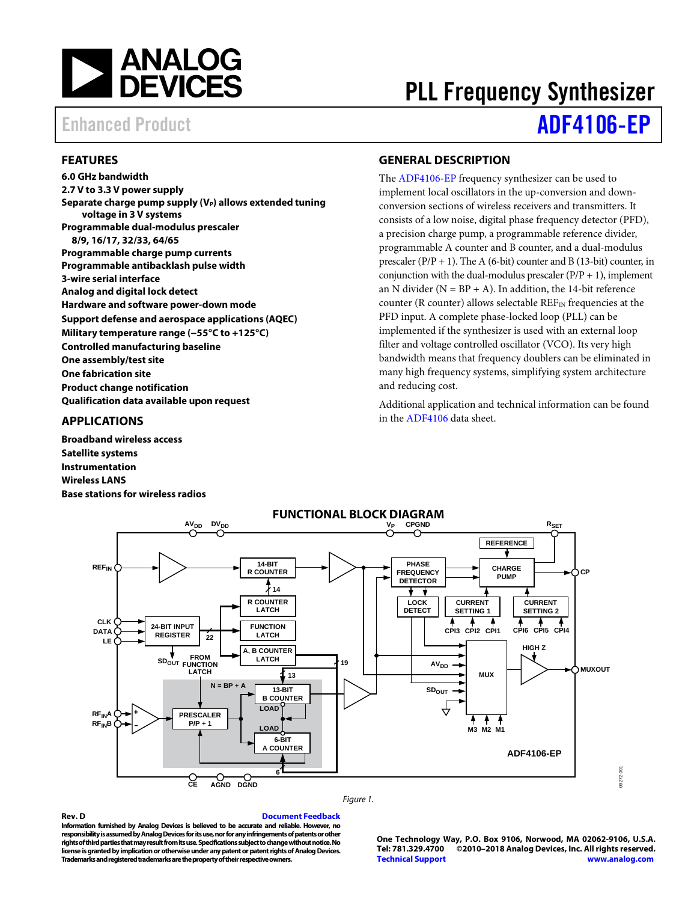

# PLL Frequency Synthesizer Enhanced Product **[ADF4106-EP](https://www.analog.com/ADF4106?doc=ADF4106-EP.pdf)**

### <span id="page-0-0"></span>**FEATURES**

**6.0 GHz bandwidth 2.7 V to 3.3 V power supply** Separate charge pump supply (V<sub>P</sub>) allows extended tuning **voltage in 3 V systems Programmable dual-modulus prescaler 8/9, 16/17, 32/33, 64/65 Programmable charge pump currents Programmable antibacklash pulse width 3-wire serial interface Analog and digital lock detect Hardware and software power-down mode Support defense and aerospace applications (AQEC) Military temperature range (−55°C to +125°C) Controlled manufacturing baseline One assembly/test site One fabrication site Product change notification Qualification data available upon request**

### <span id="page-0-1"></span>**APPLICATIONS**

**Broadband wireless access Satellite systems Instrumentation Wireless LANS Base stations for wireless radios**

### <span id="page-0-2"></span>**GENERAL DESCRIPTION**

The [ADF4106-EP](https://www.analog.com/ADF4106?doc=ADF4106-EP.pdf) frequency synthesizer can be used to implement local oscillators in the up-conversion and downconversion sections of wireless receivers and transmitters. It consists of a low noise, digital phase frequency detector (PFD), a precision charge pump, a programmable reference divider, programmable A counter and B counter, and a dual-modulus prescaler  $(P/P + 1)$ . The A (6-bit) counter and B (13-bit) counter, in conjunction with the dual-modulus prescaler  $(P/P + 1)$ , implement an N divider ( $N = BP + A$ ). In addition, the 14-bit reference counter (R counter) allows selectable  $REF_{IN}$  frequencies at the PFD input. A complete phase-locked loop (PLL) can be implemented if the synthesizer is used with an external loop filter and voltage controlled oscillator (VCO). Its very high bandwidth means that frequency doublers can be eliminated in many high frequency systems, simplifying system architecture and reducing cost.

Additional application and technical information can be found in the [ADF4106](https://www.analog.com/ADF4106?doc=ADF4106-EP.pdf) data sheet.

<span id="page-0-3"></span>

#### *Figure 1.*

**Rev. D [Document Feedback](https://form.analog.com/Form_Pages/feedback/documentfeedback.aspx?doc=ADF4106-EP.pdf&product=ADF4106-EP&rev=D) Information furnished by Analog Devices is believed to be accurate and reliable. However, no responsibility is assumed by Analog Devices for its use, nor for any infringements of patents or other rights of third parties that may result from its use. Specifications subject to change without notice. No license is granted by implication or otherwise under any patent or patent rights of Analog Devices. Trademarks and registered trademarks are the property of their respective owners.**

**One Technology Way, P.O. Box 9106, Norwood, MA 02062-9106, U.S.A. Tel: 781.329.4700 ©2010–2018 Analog Devices, Inc. All rights reserved. [Technical Support](http://www.analog.com/en/content/technical_support_page/fca.html) [www.analog.com](http://www.analog.com/)**

09272-001

9272-001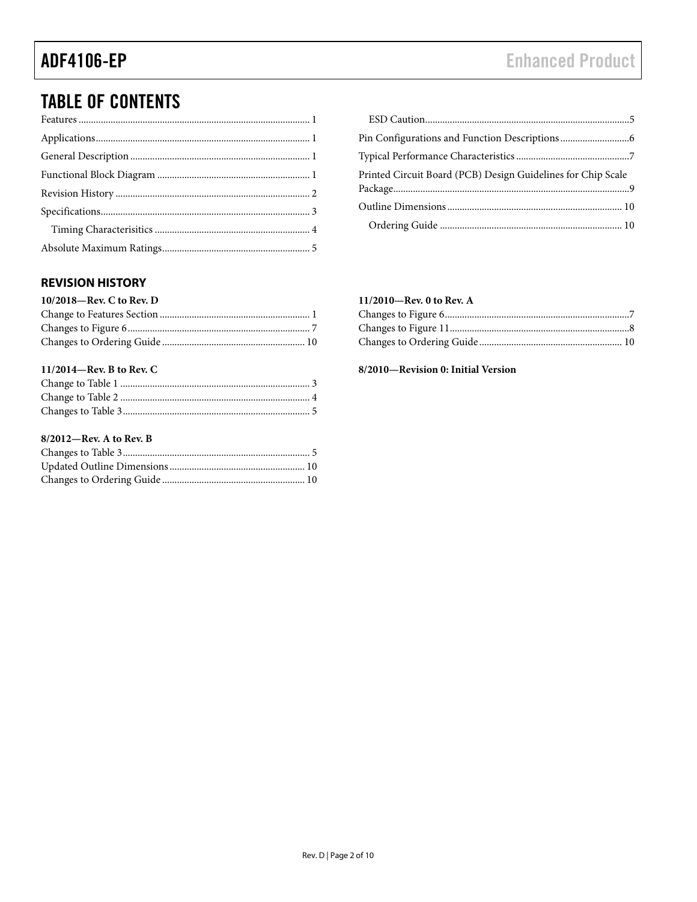## **TABLE OF CONTENTS**

### Printed Circuit Board (PCB) Design Guidelines for Chip Scale

### <span id="page-1-0"></span>**REVISION HISTORY**

#### 11/2014-Rev. B to Rev. C

### 8/2012-Rev. A to Rev. B

#### 11/2010-Rev. 0 to Rev. A

#### 8/2010-Revision 0: Initial Version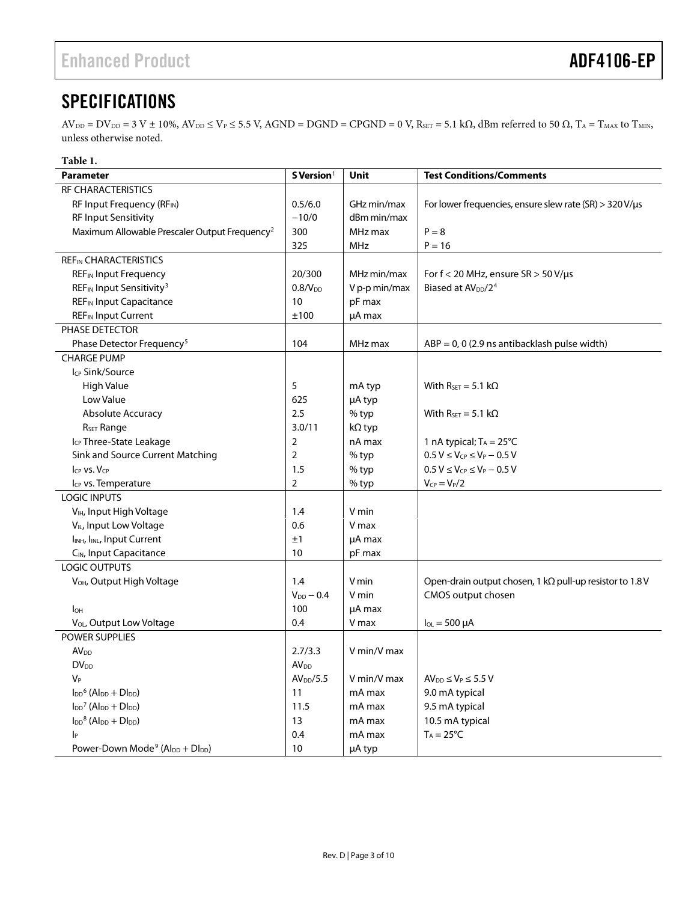## <span id="page-2-0"></span>**SPECIFICATIONS**

 $AV_{\text{DD}} = DV_{\text{DD}} = 3 \text{ V} \pm 10\%, AV_{\text{DD}} \leq V_{\text{P}} \leq 5.5 \text{ V}$ ,  $AGND = DGND = CPGND = 0 \text{ V}$ ,  $R_{\text{SET}} = 5.1 \text{ k}\Omega$ , dBm referred to 50  $\Omega$ ,  $T_A = T_{\text{MAX}}$  to  $T_{\text{MIN}}$ , unless otherwise noted.

| Table 1.                                                                                |                        |               |                                                                  |
|-----------------------------------------------------------------------------------------|------------------------|---------------|------------------------------------------------------------------|
| <b>Parameter</b>                                                                        | S Version <sup>1</sup> | Unit          | <b>Test Conditions/Comments</b>                                  |
| RF CHARACTERISTICS                                                                      |                        |               |                                                                  |
| RF Input Frequency (RFIN)                                                               | 0.5/6.0                | GHz min/max   | For lower frequencies, ensure slew rate (SR) $>$ 320 V/ $\mu$ s  |
| RF Input Sensitivity                                                                    | $-10/0$                | dBm min/max   |                                                                  |
| Maximum Allowable Prescaler Output Frequency <sup>2</sup>                               | 300                    | MHz max       | $P = 8$                                                          |
|                                                                                         | 325                    | <b>MHz</b>    | $P = 16$                                                         |
| <b>REFIN CHARACTERISTICS</b>                                                            |                        |               |                                                                  |
| <b>REF<sub>IN</sub></b> Input Frequency                                                 | 20/300                 | MHz min/max   | For $f < 20$ MHz, ensure $SR > 50$ V/ $\mu s$                    |
| REF <sub>IN</sub> Input Sensitivity <sup>3</sup>                                        | 0.8/V <sub>DD</sub>    | V p-p min/max | Biased at AV <sub>DD</sub> /2 <sup>4</sup>                       |
| <b>REF<sub>IN</sub></b> Input Capacitance                                               | 10                     | pF max        |                                                                  |
| <b>REF</b> IN Input Current                                                             | ±100                   | µA max        |                                                                  |
| PHASE DETECTOR                                                                          |                        |               |                                                                  |
| Phase Detector Frequency <sup>5</sup>                                                   | 104                    | MHz max       | $ABP = 0$ , 0 (2.9 ns antibacklash pulse width)                  |
| <b>CHARGE PUMP</b>                                                                      |                        |               |                                                                  |
| I <sub>CP</sub> Sink/Source                                                             |                        |               |                                                                  |
| <b>High Value</b>                                                                       | 5                      | mA typ        | With $R_{\text{SET}} = 5.1 \text{ k}\Omega$                      |
| Low Value                                                                               | 625                    | µA typ        |                                                                  |
| Absolute Accuracy                                                                       | 2.5                    | % typ         | With $R_{\text{SET}} = 5.1 \text{ k}\Omega$                      |
| R <sub>SET</sub> Range                                                                  | 3.0/11                 | kΩ typ        |                                                                  |
| Icp Three-State Leakage                                                                 | 2                      | nA max        | 1 nA typical; $T_A = 25^{\circ}C$                                |
| Sink and Source Current Matching                                                        | $\overline{2}$         | % typ         | $0.5 V \leq V_{CP} \leq V_P - 0.5 V$                             |
| ICP VS. VCP                                                                             | 1.5                    | % typ         | $0.5 V \leq V_{CP} \leq V_P - 0.5 V$                             |
| I <sub>CP</sub> vs. Temperature                                                         | $\overline{2}$         | % typ         | $V_{CP} = V_P/2$                                                 |
| <b>LOGIC INPUTS</b>                                                                     |                        |               |                                                                  |
| V <sub>IH</sub> , Input High Voltage                                                    | 1.4                    | V min         |                                                                  |
| V <sub>IL</sub> , Input Low Voltage                                                     | 0.6                    | V max         |                                                                  |
| I <sub>INH</sub> , I <sub>INL</sub> , Input Current                                     | ±1                     | µA max        |                                                                  |
| C <sub>IN</sub> , Input Capacitance                                                     | 10                     | pF max        |                                                                  |
| <b>LOGIC OUTPUTS</b>                                                                    |                        |               |                                                                  |
| V <sub>OH</sub> , Output High Voltage                                                   | 1.4                    | V min         | Open-drain output chosen, 1 k $\Omega$ pull-up resistor to 1.8 V |
|                                                                                         | $V_{DD}$ - 0.4         | V min         | CMOS output chosen                                               |
| $I_{OH}$                                                                                | 100                    | µA max        |                                                                  |
| V <sub>OL</sub> , Output Low Voltage                                                    | 0.4                    | V max         | $I_{OL} = 500 \mu A$                                             |
| <b>POWER SUPPLIES</b>                                                                   |                        |               |                                                                  |
| AV <sub>DD</sub>                                                                        | 2.7/3.3                | V min/V max   |                                                                  |
| $DV_{DD}$                                                                               | AV <sub>DD</sub>       |               |                                                                  |
| $V_P$                                                                                   | AV <sub>DD</sub> /5.5  | V min/V max   | $AV_{DD} \leq V_P \leq 5.5 V$                                    |
| $I_{DD}$ <sup>6</sup> (Al <sub>DD</sub> + Dl <sub>DD</sub> )                            | 11                     | mA max        | 9.0 mA typical                                                   |
| $\mathsf{I}_{\mathsf{DD}}^7$ (Al <sub>DD</sub> + $\mathsf{D}\mathsf{I}_{\mathsf{DD}}$ ) | 11.5                   | mA max        | 9.5 mA typical                                                   |
| $I_{DD}$ <sup>8</sup> (Al <sub>DD</sub> + Dl <sub>DD</sub> )                            | 13                     | mA max        | 10.5 mA typical                                                  |
| p                                                                                       | 0.4                    | mA max        | $T_A = 25^{\circ}C$                                              |
| Power-Down Mode <sup>9</sup> (Al <sub>DD</sub> + Dl <sub>DD</sub> )                     | 10                     | µA typ        |                                                                  |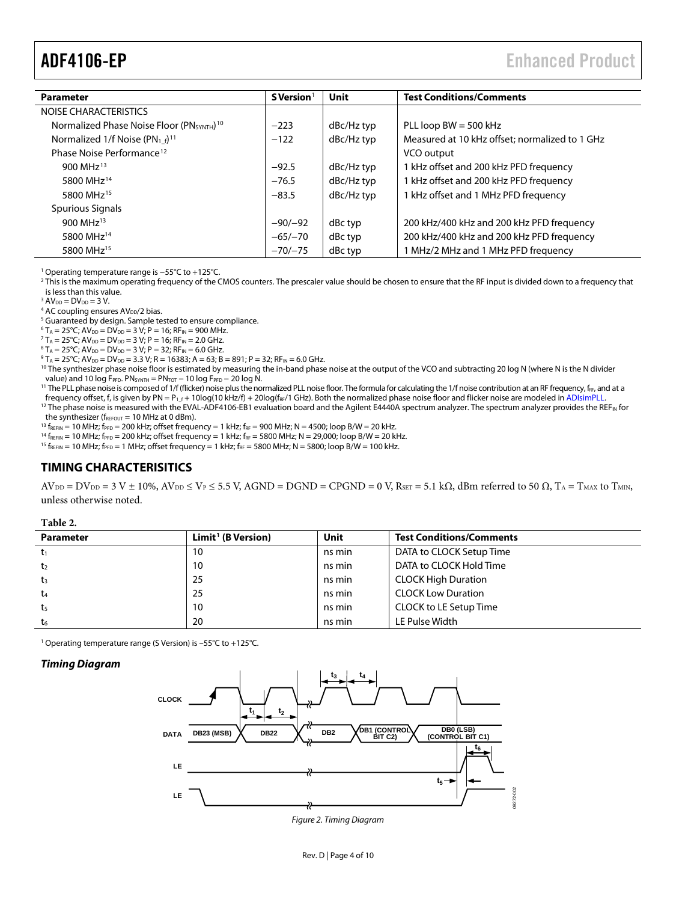<span id="page-3-2"></span><span id="page-3-1"></span>

| <b>Parameter</b>                                                  | S Version <sup>1</sup> | Unit       | <b>Test Conditions/Comments</b>                |
|-------------------------------------------------------------------|------------------------|------------|------------------------------------------------|
| NOISE CHARACTERISTICS                                             |                        |            |                                                |
| Normalized Phase Noise Floor (PN <sub>SYNTH</sub> ) <sup>10</sup> | $-223$                 | dBc/Hz typ | PLL loop $BW = 500$ kHz                        |
| Normalized 1/f Noise (PN <sub>1f</sub> ) <sup>11</sup>            | $-122$                 | dBc/Hz typ | Measured at 10 kHz offset; normalized to 1 GHz |
| Phase Noise Performance <sup>12</sup>                             |                        |            | VCO output                                     |
| 900 MHz <sup>13</sup>                                             | $-92.5$                | dBc/Hz typ | 1 kHz offset and 200 kHz PFD frequency         |
| 5800 MHz <sup>14</sup>                                            | $-76.5$                | dBc/Hz typ | 1 kHz offset and 200 kHz PFD frequency         |
| 5800 MHz <sup>15</sup>                                            | $-83.5$                | dBc/Hz typ | 1 kHz offset and 1 MHz PFD frequency           |
| Spurious Signals                                                  |                        |            |                                                |
| 900 MHz $^{13}$                                                   | $-90/-92$              | dBc typ    | 200 kHz/400 kHz and 200 kHz PFD frequency      |
| 5800 MHz <sup>14</sup>                                            | $-65/-70$              | dBc typ    | 200 kHz/400 kHz and 200 kHz PFD frequency      |
| 5800 MHz <sup>15</sup>                                            | $-70/-75$              | dBc typ    | MHz/2 MHz and 1 MHz PFD frequency              |

<span id="page-3-3"></span><sup>1</sup> Operating temperature range is −55°C to +125°C.

<sup>2</sup> This is the maximum operating frequency of the CMOS counters. The prescaler value should be chosen to ensure that the RF input is divided down to a frequency that is less than this value.

 $3 AV<sub>DD</sub> = DV<sub>DD</sub> = 3 V.$ 

 $4$  AC coupling ensures AV<sub>DD</sub>/2 bias.

<sup>5</sup> Guaranteed by design. Sample tested to ensure compliance.

 $6 T_A = 25^{\circ}$ C; AV<sub>DD</sub> = DV<sub>DD</sub> = 3 V; P = 16; RF<sub>IN</sub> = 900 MHz.

 ${}^{7}$  T<sub>A</sub> = 25<sup>°</sup>C; AV<sub>DD</sub> = DV<sub>DD</sub> = 3 V; P = 16; RF<sub>IN</sub> = 2.0 GHz.

 ${}^{8}T_A = 25^{\circ}C$ ; AV<sub>DD</sub> = DV<sub>DD</sub> = 3 V; P = 32; RF<sub>IN</sub> = 6.0 GHz.

 $9 T_A = 25^{\circ}$ C; AV<sub>DD</sub> = DV<sub>DD</sub> = 3.3 V; R = 16383; A = 63; B = 891; P = 32; RF<sub>IN</sub> = 6.0 GHz.

<sup>10</sup> The synthesizer phase noise floor is estimated by measuring the in-band phase noise at the output of the VCO and subtracting 20 log N (where N is the N divider value) and 10 log F<sub>PFD</sub>. PN<sub>SYNTH</sub> =  $PN_{TOT}$  – 10 log F<sub>PFD</sub> – 20 log N.

<sup>11</sup> The PLL phase noise is composed of 1/f (flicker) noise plus the normalized PLL noise floor. The formula for calculating the 1/f noise contribution at an RF frequency, f<sub>KF</sub>, and at a<br>frequency offset, f, is given by

<sup>12</sup> The phase noise is measured with the EVAL-ADF4106-EB1 evaluation board and the Agilent E4440A spectrum analyzer. The spectrum analyzer provides the REF<sub>IN</sub> for the synthesizer ( $f_{REFOUT}$  = 10 MHz at 0 dBm).

<sup>13</sup>  $f_{REFIN}$  = 10 MHz;  $f_{PFD}$  = 200 kHz; offset frequency = 1 kHz;  $f_{RF}$  = 900 MHz; N = 4500; loop B/W = 20 kHz.

 $14 f_{REFIN} = 10 MHz$ ; f $_{PFD} = 200 kHz$ ; offset frequency = 1 kHz; f $_{RF} = 5800 MHz$ ; N = 29,000; loop B/W = 20 kHz.

<sup>15</sup>  $f_{REFIN}$  = 10 MHz;  $f_{PFD}$  = 1 MHz; offset frequency = 1 kHz;  $f_{RF}$  = 5800 MHz; N = 5800; loop B/W = 100 kHz.

### <span id="page-3-0"></span>**TIMING CHARACTERISITICS**

 $AV_{DD} = DV_{DD} = 3 V \pm 10\%, AV_{DD} \le V_P \le 5.5 V$ , AGND = DGND = CPGND = 0 V, R<sub>SET</sub> = 5.1 kΩ, dBm referred to 50  $\Omega$ , T<sub>A</sub> = T<sub>MAX</sub> to T<sub>MIN</sub>, unless otherwise noted.

| ***** <i>*</i> * |                      |        |                                 |
|------------------|----------------------|--------|---------------------------------|
| <b>Parameter</b> | $Limit1$ (B Version) | Unit   | <b>Test Conditions/Comments</b> |
| $t_1$            | 10                   | ns min | DATA to CLOCK Setup Time        |
| t <sub>2</sub>   | 10                   | ns min | DATA to CLOCK Hold Time         |
| $t_3$            | 25                   | ns min | <b>CLOCK High Duration</b>      |
| $t_{4}$          | 25                   | ns min | <b>CLOCK Low Duration</b>       |
| t5               | 10                   | ns min | CLOCK to LE Setup Time          |
| $t_6$            | 20                   | ns min | LE Pulse Width                  |
|                  |                      |        |                                 |

<sup>1</sup> Operating temperature range (S Version) is −55°C to +125°C.

#### *Timing Diagram*

**Table 2.** 



*Figure 2. Timing Diagram*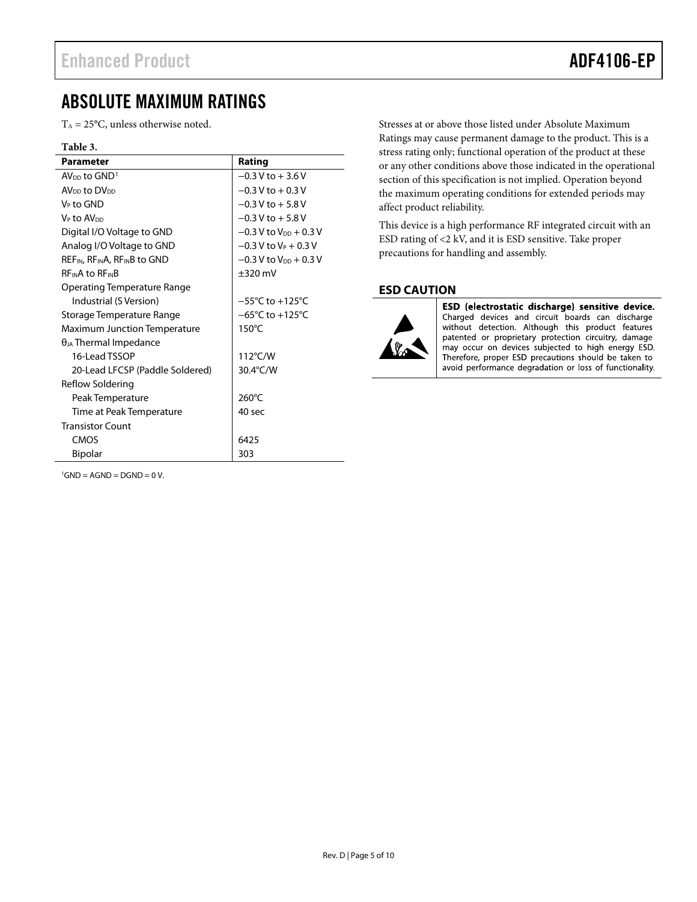## <span id="page-4-0"></span>ABSOLUTE MAXIMUM RATINGS

 $T_A = 25$ °C, unless otherwise noted.

#### **Table 3.**

<span id="page-4-5"></span><span id="page-4-4"></span><span id="page-4-3"></span><span id="page-4-2"></span>

| <b>Parameter</b>                                                  | Rating                               |
|-------------------------------------------------------------------|--------------------------------------|
| AV <sub>pp</sub> to $GND1$                                        | $-0.3$ V to $+3.6$ V                 |
| AV <sub>DD</sub> to DV <sub>DD</sub>                              | $-0.3$ V to $+0.3$ V                 |
| V⊳ to GND                                                         | $-0.3$ V to $+5.8$ V                 |
| V <sub>P</sub> to AV <sub>DD</sub>                                | $-0.3$ V to $+5.8$ V                 |
| Digital I/O Voltage to GND                                        | $-0.3$ V to V <sub>DD</sub> $+0.3$ V |
| Analog I/O Voltage to GND                                         | $-0.3$ V to V <sub>P</sub> + 0.3 V   |
| REF <sub>IN</sub> , RF <sub>IN</sub> A, RF <sub>IN</sub> B to GND | $-0.3$ V to V <sub>DD</sub> $+0.3$ V |
| $RF_{IN}A$ to $RF_{IN}B$                                          | $\pm 320$ mV                         |
| Operating Temperature Range                                       |                                      |
| Industrial (S Version)                                            | $-55^{\circ}$ C to $+125^{\circ}$ C  |
| Storage Temperature Range                                         | $-65^{\circ}$ C to $+125^{\circ}$ C  |
| <b>Maximum Junction Temperature</b>                               | $150^{\circ}$ C                      |
| $\theta_{JA}$ Thermal Impedance                                   |                                      |
| 16-Lead TSSOP                                                     | $112^{\circ}$ C/W                    |
| 20-Lead LFCSP (Paddle Soldered)                                   | 30.4°C/W                             |
| Reflow Soldering                                                  |                                      |
| Peak Temperature                                                  | $260^{\circ}$ C                      |
| Time at Peak Temperature                                          | 40 sec                               |
| <b>Transistor Count</b>                                           |                                      |
| CMOS                                                              | 6425                                 |
| <b>Bipolar</b>                                                    | 303                                  |

Stresses at or above those listed under Absolute Maximum Ratings may cause permanent damage to the product. This is a stress rating only; functional operation of the product at these or any other conditions above those indicated in the operational section of this specification is not implied. Operation beyond the maximum operating conditions for extended periods may affect product reliability.

This device is a high performance RF integrated circuit with an ESD rating of <2 kV, and it is ESD sensitive. Take proper precautions for handling and assembly.

#### <span id="page-4-1"></span>**ESD CAUTION**



ESD (electrostatic discharge) sensitive device. Charged devices and circuit boards can discharge without detection. Although this product features patented or proprietary protection circuitry, damage may occur on devices subjected to high energy ESD. Therefore, proper ESD precautions should be taken to avoid performance degradation or loss of functionality.

<span id="page-4-11"></span><span id="page-4-10"></span><span id="page-4-9"></span><span id="page-4-8"></span><span id="page-4-7"></span><span id="page-4-6"></span> ${}^{1}$ GND = AGND = DGND = 0 V.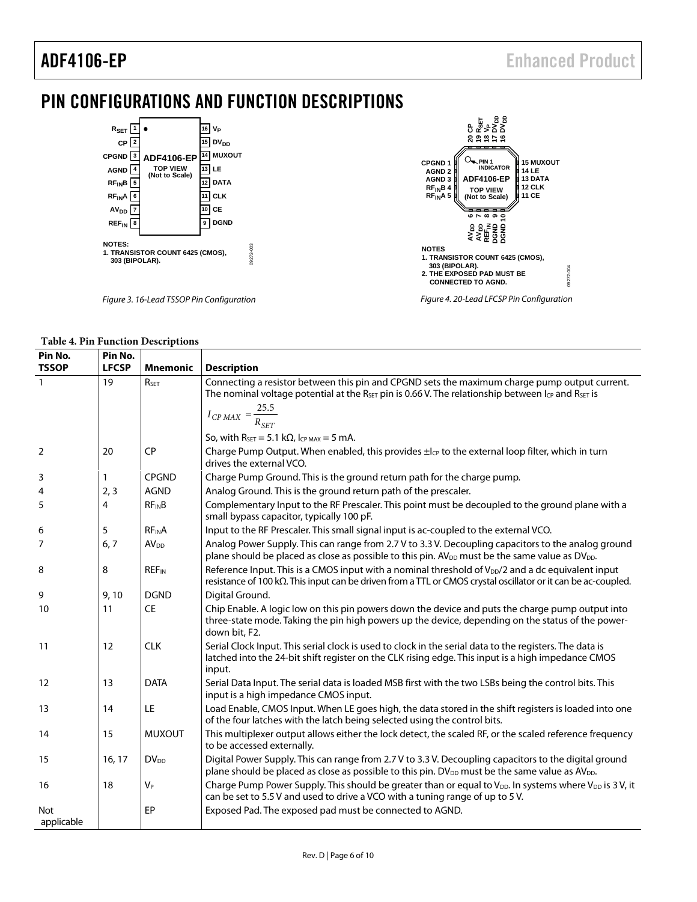# <span id="page-5-0"></span>PIN CONFIGURATIONS AND FUNCTION DESCRIPTIONS



#### **Table 4. Pin Function Descriptions**

<span id="page-5-6"></span><span id="page-5-5"></span><span id="page-5-4"></span><span id="page-5-3"></span><span id="page-5-2"></span><span id="page-5-1"></span>

| Pin No.<br><b>TSSOP</b>  | Pin No.<br><b>LFCSP</b> | <b>Mnemonic</b>         | <b>Description</b>                                                                                                                                                                                                                                                            |
|--------------------------|-------------------------|-------------------------|-------------------------------------------------------------------------------------------------------------------------------------------------------------------------------------------------------------------------------------------------------------------------------|
| $\overline{1}$           | 19                      | RSET                    | Connecting a resistor between this pin and CPGND sets the maximum charge pump output current.<br>The nominal voltage potential at the $R_{\text{SET}}$ pin is 0.66 V. The relationship between $I_{\text{CP}}$ and $R_{\text{SET}}$ is<br>$I_{CP MAX} = \frac{25.5}{R_{SET}}$ |
|                          |                         |                         | So, with $R_{\text{SET}} = 5.1 \text{ k}\Omega$ , $I_{\text{CP MAX}} = 5 \text{ mA}$ .                                                                                                                                                                                        |
| 2                        | 20                      | <b>CP</b>               | Charge Pump Output. When enabled, this provides ±lc <sub>p</sub> to the external loop filter, which in turn<br>drives the external VCO.                                                                                                                                       |
| 3                        | 1                       | <b>CPGND</b>            | Charge Pump Ground. This is the ground return path for the charge pump.                                                                                                                                                                                                       |
| 4                        | 2, 3                    | <b>AGND</b>             | Analog Ground. This is the ground return path of the prescaler.                                                                                                                                                                                                               |
| 5                        | 4                       | $RF_{IN}B$              | Complementary Input to the RF Prescaler. This point must be decoupled to the ground plane with a<br>small bypass capacitor, typically 100 pF.                                                                                                                                 |
| 6                        | 5                       | <b>RFINA</b>            | Input to the RF Prescaler. This small signal input is ac-coupled to the external VCO.                                                                                                                                                                                         |
| 7                        | 6, 7                    | <b>AV<sub>DD</sub></b>  | Analog Power Supply. This can range from 2.7 V to 3.3 V. Decoupling capacitors to the analog ground<br>plane should be placed as close as possible to this pin. AV <sub>DD</sub> must be the same value as DV <sub>DD</sub> .                                                 |
| 8                        | 8                       | <b>REF<sub>IN</sub></b> | Reference Input. This is a CMOS input with a nominal threshold of V <sub>DD</sub> /2 and a dc equivalent input<br>resistance of 100 k $\Omega$ . This input can be driven from a TTL or CMOS crystal oscillator or it can be ac-coupled.                                      |
| 9                        | 9,10                    | <b>DGND</b>             | Digital Ground.                                                                                                                                                                                                                                                               |
| 10                       | 11                      | <b>CE</b>               | Chip Enable. A logic low on this pin powers down the device and puts the charge pump output into<br>three-state mode. Taking the pin high powers up the device, depending on the status of the power-<br>down bit, F2.                                                        |
| 11                       | 12                      | <b>CLK</b>              | Serial Clock Input. This serial clock is used to clock in the serial data to the registers. The data is<br>latched into the 24-bit shift register on the CLK rising edge. This input is a high impedance CMOS<br>input.                                                       |
| 12                       | 13                      | <b>DATA</b>             | Serial Data Input. The serial data is loaded MSB first with the two LSBs being the control bits. This<br>input is a high impedance CMOS input.                                                                                                                                |
| 13                       | 14                      | LE                      | Load Enable, CMOS Input. When LE goes high, the data stored in the shift registers is loaded into one<br>of the four latches with the latch being selected using the control bits.                                                                                            |
| 14                       | 15                      | <b>MUXOUT</b>           | This multiplexer output allows either the lock detect, the scaled RF, or the scaled reference frequency<br>to be accessed externally.                                                                                                                                         |
| 15                       | 16, 17                  | <b>DV<sub>DD</sub></b>  | Digital Power Supply. This can range from 2.7 V to 3.3 V. Decoupling capacitors to the digital ground<br>plane should be placed as close as possible to this pin. DV <sub>DD</sub> must be the same value as AV <sub>DD</sub> .                                               |
| 16                       | 18                      | V <sub>P</sub>          | Charge Pump Power Supply. This should be greater than or equal to V <sub>DD</sub> . In systems where V <sub>DD</sub> is 3V, it<br>can be set to 5.5 V and used to drive a VCO with a tuning range of up to 5 V.                                                               |
| <b>Not</b><br>applicable |                         | EP                      | Exposed Pad. The exposed pad must be connected to AGND.                                                                                                                                                                                                                       |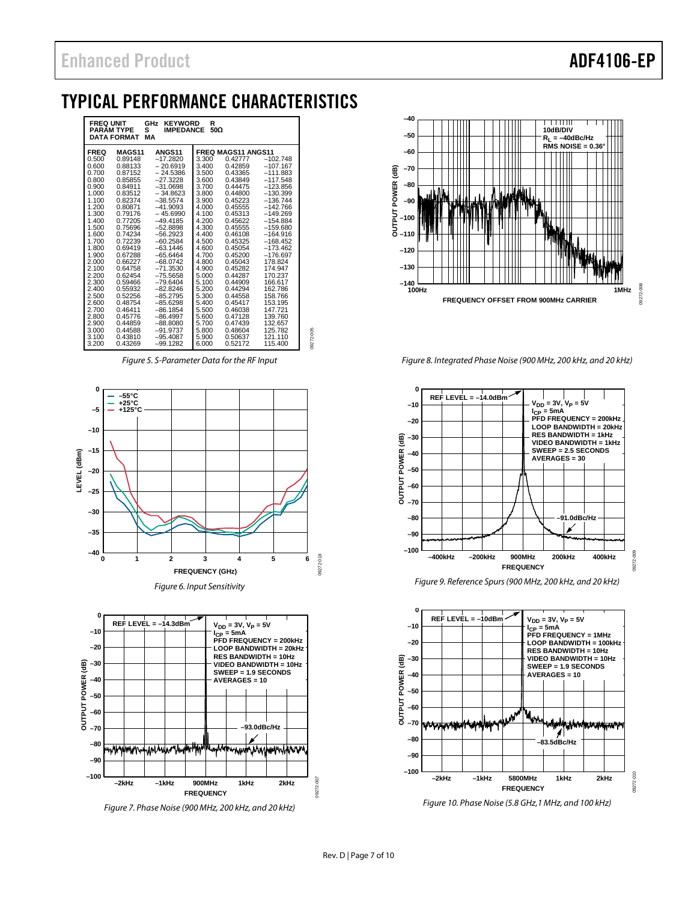## <span id="page-6-0"></span>TYPICAL PERFORMANCE CHARACTERISTICS

| <b>FREQ UNIT</b><br>GHz<br><b>KEYWORD</b><br>R<br>50Ω<br>s<br><b>PARAM TYPE</b><br><b>IMPEDANCE</b><br><b>DATA FORMAT</b><br>MА                                |                                                                                                                                                                                                    |                                                                                                                                                                                                                                                          |                                                                                                                                                                |                                                                                                                                                                                                    |                                                                                                                                                                                                                   |
|----------------------------------------------------------------------------------------------------------------------------------------------------------------|----------------------------------------------------------------------------------------------------------------------------------------------------------------------------------------------------|----------------------------------------------------------------------------------------------------------------------------------------------------------------------------------------------------------------------------------------------------------|----------------------------------------------------------------------------------------------------------------------------------------------------------------|----------------------------------------------------------------------------------------------------------------------------------------------------------------------------------------------------|-------------------------------------------------------------------------------------------------------------------------------------------------------------------------------------------------------------------|
| <b>FREQ</b><br>0.500<br>0.600<br>0.700<br>0.800<br>0.900<br>1.000<br>1.100<br>1.200<br>1.300<br>1.400                                                          | <b>MAGS11</b><br>0.89148<br>0.88133<br>0.87152<br>0.85855<br>0.84911<br>0.83512<br>0.82374<br>0.80871<br>0.79176<br>0.77205                                                                        | <b>ANGS11</b><br>$-17.2820$<br>$-20.6919$<br>$-24.5386$<br>$-27.3228$<br>$-31.0698$<br>$-34.8623$<br>$-38.5574$<br>$-41.9093$<br>$-45.6990$<br>$-49.4185$                                                                                                | 3.300<br>3.400<br>3.500<br>3.600<br>3.700<br>3.800<br>3.900<br>4.000<br>4.100<br>4.200                                                                         | <b>FREQ MAGS11 ANGS11</b><br>0.42777<br>0.42859<br>0.43365<br>0.43849<br>0.44475<br>0.44800<br>0.45223<br>0.45555<br>0.45313<br>0.45622                                                            | $-102.748$<br>$-107.167$<br>$-111.883$<br>$-117.548$<br>$-123.856$<br>$-130.399$<br>$-136.744$<br>$-142.766$<br>$-149.269$<br>$-154.884$                                                                          |
| 1.500<br>1.600<br>1.700<br>1.800<br>1.900<br>2.000<br>2.100<br>2.200<br>2.300<br>2.400<br>2.500<br>2.600<br>2.700<br>2.800<br>2.900<br>3.000<br>3.100<br>3.200 | 0.75696<br>0.74234<br>0.72239<br>0.69419<br>0.67288<br>0.66227<br>0.64758<br>0.62454<br>0.59466<br>0.55932<br>0.52256<br>0.48754<br>0.46411<br>0.45776<br>0.44859<br>0.44588<br>0.43810<br>0.43269 | $-52.8898$<br>$-56.2923$<br>$-60.2584$<br>$-63.1446$<br>$-65.6464$<br>$-68.0742$<br>$-71.3530$<br>$-75.5658$<br>$-79.6404$<br>$-82.8246$<br>$-85.2795$<br>$-85.6298$<br>$-86.1854$<br>$-86.4997$<br>$-88.8080$<br>$-91.9737$<br>$-95.4087$<br>$-99.1282$ | 4.300<br>4.400<br>4.500<br>4.600<br>4.700<br>4.800<br>4.900<br>5.000<br>5.100<br>5.200<br>5.300<br>5.400<br>5.500<br>5.600<br>5.700<br>5.800<br>5.900<br>6.000 | 0.45555<br>0.46108<br>0.45325<br>0.45054<br>0.45200<br>0.45043<br>0.45282<br>0.44287<br>0.44909<br>0.44294<br>0.44558<br>0.45417<br>0.46038<br>0.47128<br>0.47439<br>0.48604<br>0.50637<br>0.52172 | $-159.680$<br>$-164.916$<br>$-168.452$<br>$-173.462$<br>$-176.697$<br>178.824<br>174.947<br>170.237<br>166.617<br>162.786<br>158.766<br>153.195<br>147.721<br>139.760<br>132.657<br>125.782<br>121.110<br>115.400 |

*Figure 5. S-Parameter Data for the RF Input*

09272-005

 $rac{1}{2}$ 09272



*Figure 6. Input Sensitivity*

<span id="page-6-1"></span>

*Figure 7. Phase Noise (900 MHz, 200 kHz, and 20 kHz)* 



*Figure 8. Integrated Phase Noise (900 MHz, 200 kHz, and 20 kHz)* 



*Figure 9. Reference Spurs (900 MHz, 200 kHz, and 20 kHz)* 



*Figure 10. Phase Noise (5.8 GHz,1 MHz, and 100 kHz)*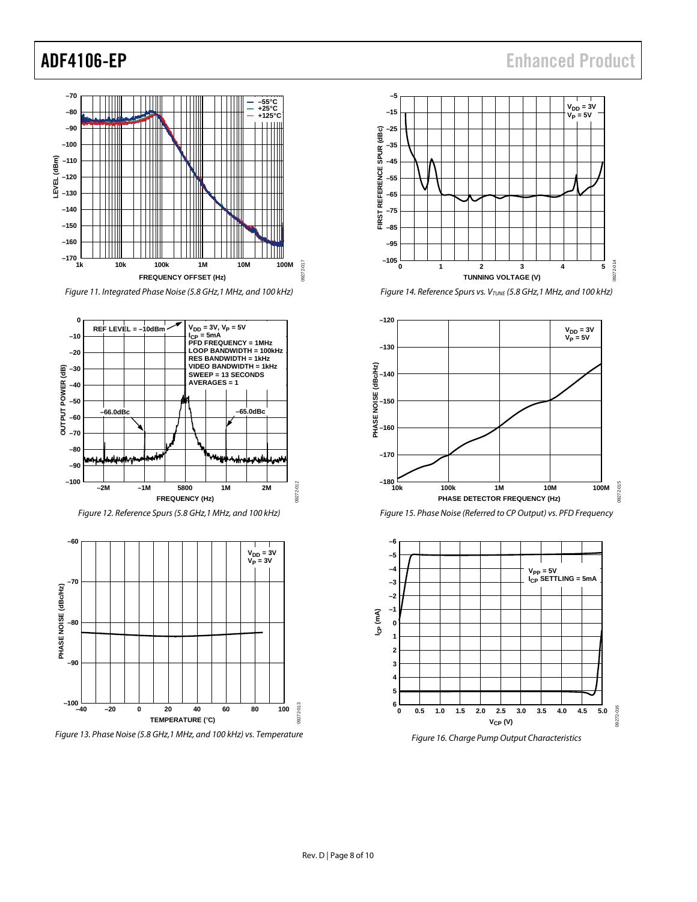#### **–70** Ш **–55°C +25°C +125°C –80 FTIII** гтин **–90** Ш **–100 LEVEL (dBm) –110** LEVEL (dBm) **–120 –130 –140** Ш **–150** Ш **–160 –170** 09272-017 09272-017 **1k 10k 100k 1M 10M 100M FREQUENCY OFFSET (Hz)**

*Figure 11. Integrated Phase Noise (5.8 GHz,1 MHz, and 100 kHz)* 



*Figure 12. Reference Spurs (5.8 GHz,1 MHz, and 100 kHz)* 



*Figure 13. Phase Noise (5.8 GHz,1 MHz, and 100 kHz) vs. Temperature*



*Figure 14. Reference Spurs vs. V<sub>TUNE</sub>* (5.8 GHz, 1 MHz, and 100 kHz)







*Figure 16. Charge Pump Output Characteristics*

## ADF4106-EP Enhanced Product

09272-012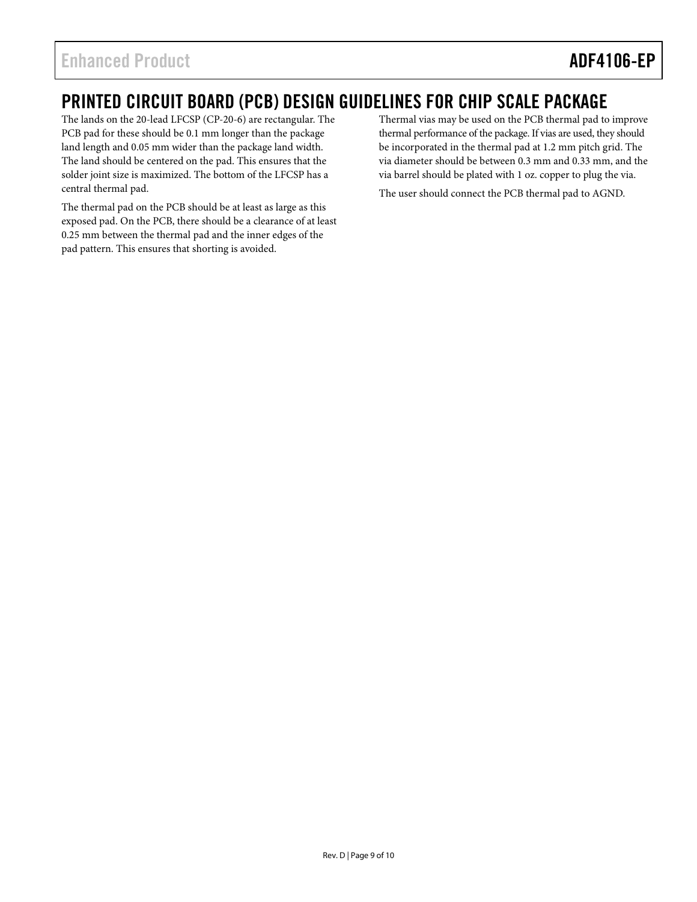## <span id="page-8-0"></span>PRINTED CIRCUIT BOARD (PCB) DESIGN GUIDELINES FOR CHIP SCALE PACKAGE

The lands on the 20-lead LFCSP (CP-20-6) are rectangular. The PCB pad for these should be 0.1 mm longer than the package land length and 0.05 mm wider than the package land width. The land should be centered on the pad. This ensures that the solder joint size is maximized. The bottom of the LFCSP has a central thermal pad.

The thermal pad on the PCB should be at least as large as this exposed pad. On the PCB, there should be a clearance of at least 0.25 mm between the thermal pad and the inner edges of the pad pattern. This ensures that shorting is avoided.

Thermal vias may be used on the PCB thermal pad to improve thermal performance of the package. If vias are used, they should be incorporated in the thermal pad at 1.2 mm pitch grid. The via diameter should be between 0.3 mm and 0.33 mm, and the via barrel should be plated with 1 oz. copper to plug the via.

The user should connect the PCB thermal pad to AGND.